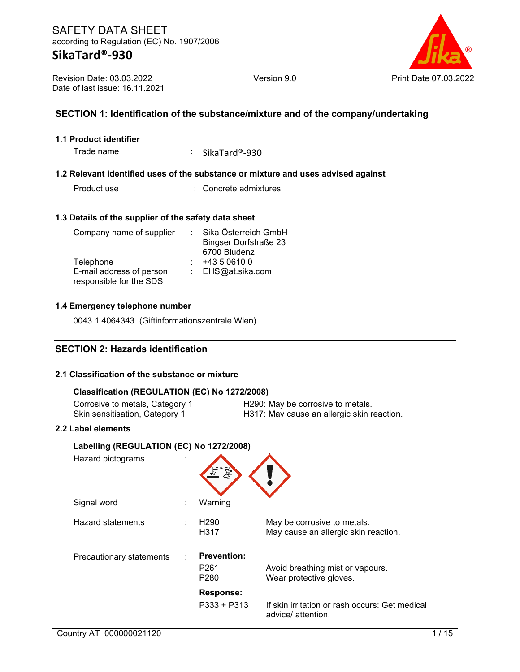# Version 9.0 Print Date 07.03.2022

## **SECTION 1: Identification of the substance/mixture and of the company/undertaking**

#### **1.1 Product identifier**

Trade name : SikaTard®-930

#### **1.2 Relevant identified uses of the substance or mixture and uses advised against**

Product use : Concrete admixtures

#### **1.3 Details of the supplier of the safety data sheet**

| Company name of supplier | Sika Österreich GmbH         |
|--------------------------|------------------------------|
|                          | <b>Bingser Dorfstraße 23</b> |
|                          | 6700 Bludenz                 |
| Telephone                | +43 5 0610 0                 |
| E-mail address of person | : EHS@at.sika.com            |
| responsible for the SDS  |                              |

#### **1.4 Emergency telephone number**

0043 1 4064343 (Giftinformationszentrale Wien)

## **SECTION 2: Hazards identification**

#### **2.1 Classification of the substance or mixture**

#### **Classification (REGULATION (EC) No 1272/2008)**

Corrosive to metals, Category 1 H290: May be corrosive to metals.<br>
Skin sensitisation, Category 1 H317: May cause an allergic skin r H317: May cause an allergic skin reaction.

#### **2.2 Label elements**

| Labelling (REGULATION (EC) No 1272/2008) |  |                                                            |                                                                      |  |  |  |  |  |
|------------------------------------------|--|------------------------------------------------------------|----------------------------------------------------------------------|--|--|--|--|--|
| Hazard pictograms                        |  |                                                            |                                                                      |  |  |  |  |  |
| Signal word                              |  | Warning                                                    |                                                                      |  |  |  |  |  |
| Hazard statements                        |  | H <sub>290</sub><br>H317                                   | May be corrosive to metals.<br>May cause an allergic skin reaction.  |  |  |  |  |  |
| Precautionary statements                 |  | <b>Prevention:</b><br>P <sub>261</sub><br>P <sub>280</sub> | Avoid breathing mist or vapours.<br>Wear protective gloves.          |  |  |  |  |  |
|                                          |  | <b>Response:</b>                                           |                                                                      |  |  |  |  |  |
|                                          |  | $P333 + P313$                                              | If skin irritation or rash occurs: Get medical<br>advice/ attention. |  |  |  |  |  |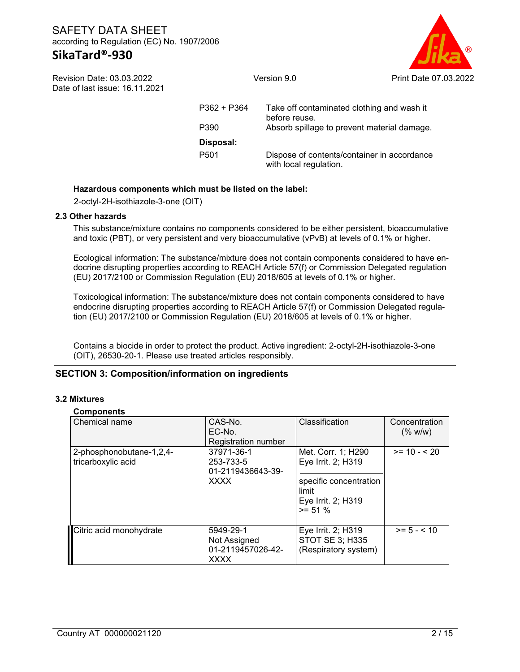

| Revision Date: 03.03.2022      |  |  |  |  |  |
|--------------------------------|--|--|--|--|--|
| Date of last issue: 16.11.2021 |  |  |  |  |  |

| $P362 + P364$<br>P390 | Take off contaminated clothing and wash it<br>before reuse.<br>Absorb spillage to prevent material damage. |
|-----------------------|------------------------------------------------------------------------------------------------------------|
| Disposal:             |                                                                                                            |
| P <sub>501</sub>      | Dispose of contents/container in accordance<br>with local regulation.                                      |

#### **Hazardous components which must be listed on the label:**

2-octyl-2H-isothiazole-3-one (OIT)

#### **2.3 Other hazards**

This substance/mixture contains no components considered to be either persistent, bioaccumulative and toxic (PBT), or very persistent and very bioaccumulative (vPvB) at levels of 0.1% or higher.

Ecological information: The substance/mixture does not contain components considered to have endocrine disrupting properties according to REACH Article 57(f) or Commission Delegated regulation (EU) 2017/2100 or Commission Regulation (EU) 2018/605 at levels of 0.1% or higher.

Toxicological information: The substance/mixture does not contain components considered to have endocrine disrupting properties according to REACH Article 57(f) or Commission Delegated regulation (EU) 2017/2100 or Commission Regulation (EU) 2018/605 at levels of 0.1% or higher.

Contains a biocide in order to protect the product. Active ingredient: 2-octyl-2H-isothiazole-3-one (OIT), 26530-20-1. Please use treated articles responsibly.

### **SECTION 3: Composition/information on ingredients**

#### **3.2 Mixtures**

#### **Components**

| Chemical name                                  | CAS-No.<br>$EC-NO$<br>Registration number                     | Classification                                                                                                  | Concentration<br>(% w/w) |
|------------------------------------------------|---------------------------------------------------------------|-----------------------------------------------------------------------------------------------------------------|--------------------------|
| 2-phosphonobutane-1,2,4-<br>tricarboxylic acid | 37971-36-1<br>253-733-5<br>01-2119436643-39-<br><b>XXXX</b>   | Met. Corr. 1; H290<br>Eye Irrit. 2; H319<br>specific concentration<br>limit<br>Eye Irrit. 2; H319<br>$>= 51 \%$ | $>= 10 - 520$            |
| Citric acid monohydrate                        | 5949-29-1<br>Not Assigned<br>01-2119457026-42-<br><b>XXXX</b> | Eye Irrit. 2; H319<br>STOT SE 3; H335<br>(Respiratory system)                                                   | $>= 5 - < 10$            |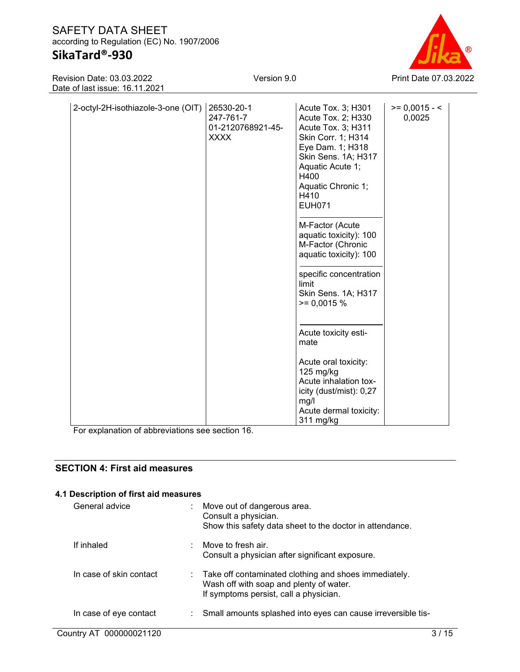# **SikaTard®-930**

Revision Date: 03.03.2022 Date of last issue: 16.11.2021 Version 9.0 Print Date 07.03.2022

| 2-octyl-2H-isothiazole-3-one (OIT) | 26530-20-1        | Acute Tox. 3; H301                 | $>= 0,0015 - 5$ |
|------------------------------------|-------------------|------------------------------------|-----------------|
|                                    | 247-761-7         | Acute Tox. 2; H330                 | 0,0025          |
|                                    | 01-2120768921-45- | Acute Tox. 3; H311                 |                 |
|                                    | <b>XXXX</b>       | Skin Corr. 1; H314                 |                 |
|                                    |                   | Eye Dam. 1; H318                   |                 |
|                                    |                   | Skin Sens. 1A; H317                |                 |
|                                    |                   | Aquatic Acute 1;                   |                 |
|                                    |                   | H400                               |                 |
|                                    |                   | Aquatic Chronic 1;                 |                 |
|                                    |                   | H410                               |                 |
|                                    |                   | <b>EUH071</b>                      |                 |
|                                    |                   |                                    |                 |
|                                    |                   | M-Factor (Acute                    |                 |
|                                    |                   | aquatic toxicity): 100             |                 |
|                                    |                   | M-Factor (Chronic                  |                 |
|                                    |                   | aquatic toxicity): 100             |                 |
|                                    |                   |                                    |                 |
|                                    |                   | specific concentration<br>limit    |                 |
|                                    |                   | Skin Sens. 1A; H317                |                 |
|                                    |                   | $>= 0,0015%$                       |                 |
|                                    |                   |                                    |                 |
|                                    |                   |                                    |                 |
|                                    |                   | Acute toxicity esti-               |                 |
|                                    |                   | mate                               |                 |
|                                    |                   |                                    |                 |
|                                    |                   | Acute oral toxicity:               |                 |
|                                    |                   | 125 mg/kg<br>Acute inhalation tox- |                 |
|                                    |                   |                                    |                 |
|                                    |                   | icity (dust/mist): 0,27            |                 |
|                                    |                   | mg/l                               |                 |
|                                    |                   | Acute dermal toxicity:             |                 |
|                                    |                   | 311 mg/kg                          |                 |

For explanation of abbreviations see section 16.

## **SECTION 4: First aid measures**

# **4.1 Description of first aid measures**

| General advice          | ÷. | Move out of dangerous area.<br>Consult a physician.<br>Show this safety data sheet to the doctor in attendance.                                         |
|-------------------------|----|---------------------------------------------------------------------------------------------------------------------------------------------------------|
| If inhaled              |    | Move to fresh air.<br>Consult a physician after significant exposure.                                                                                   |
| In case of skin contact |    | $\therefore$ Take off contaminated clothing and shoes immediately.<br>Wash off with soap and plenty of water.<br>If symptoms persist, call a physician. |
| In case of eye contact  |    | Small amounts splashed into eyes can cause irreversible tis-                                                                                            |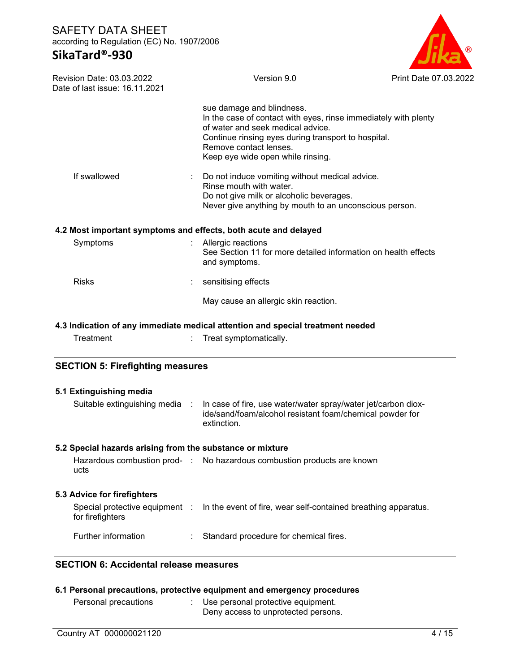# **SikaTard®-930**



| Revision Date: 03.03.2022<br>Date of last issue: 16.11.2021     | Version 9.0                                                                                                                                                                                                                                             | Print Date 07.03.2022 |
|-----------------------------------------------------------------|---------------------------------------------------------------------------------------------------------------------------------------------------------------------------------------------------------------------------------------------------------|-----------------------|
|                                                                 | sue damage and blindness.<br>In the case of contact with eyes, rinse immediately with plenty<br>of water and seek medical advice.<br>Continue rinsing eyes during transport to hospital.<br>Remove contact lenses.<br>Keep eye wide open while rinsing. |                       |
| If swallowed                                                    | Do not induce vomiting without medical advice.<br>Rinse mouth with water.<br>Do not give milk or alcoholic beverages.<br>Never give anything by mouth to an unconscious person.                                                                         |                       |
| 4.2 Most important symptoms and effects, both acute and delayed |                                                                                                                                                                                                                                                         |                       |
| Symptoms                                                        | Allergic reactions<br>See Section 11 for more detailed information on health effects<br>and symptoms.                                                                                                                                                   |                       |
| <b>Risks</b>                                                    | sensitising effects                                                                                                                                                                                                                                     |                       |
|                                                                 | May cause an allergic skin reaction.                                                                                                                                                                                                                    |                       |
|                                                                 | 4.3 Indication of any immediate medical attention and special treatment needed                                                                                                                                                                          |                       |
| Treatment                                                       | Treat symptomatically.                                                                                                                                                                                                                                  |                       |
| <b>SECTION 5: Firefighting measures</b>                         |                                                                                                                                                                                                                                                         |                       |
| 5.1 Extinguishing media                                         |                                                                                                                                                                                                                                                         |                       |
| Suitable extinguishing media :                                  | In case of fire, use water/water spray/water jet/carbon diox-<br>ide/sand/foam/alcohol resistant foam/chemical powder for<br>extinction.                                                                                                                |                       |
| 5.2 Special hazards arising from the substance or mixture       |                                                                                                                                                                                                                                                         |                       |
| ucts                                                            | Hazardous combustion prod- : No hazardous combustion products are known                                                                                                                                                                                 |                       |
|                                                                 |                                                                                                                                                                                                                                                         |                       |
|                                                                 |                                                                                                                                                                                                                                                         |                       |
| 5.3 Advice for firefighters<br>for firefighters                 | Special protective equipment : In the event of fire, wear self-contained breathing apparatus.                                                                                                                                                           |                       |

# **6.1 Personal precautions, protective equipment and emergency procedures**

| Personal precautions | Use personal protective equipment.<br>Deny access to unprotected persons. |
|----------------------|---------------------------------------------------------------------------|
|                      |                                                                           |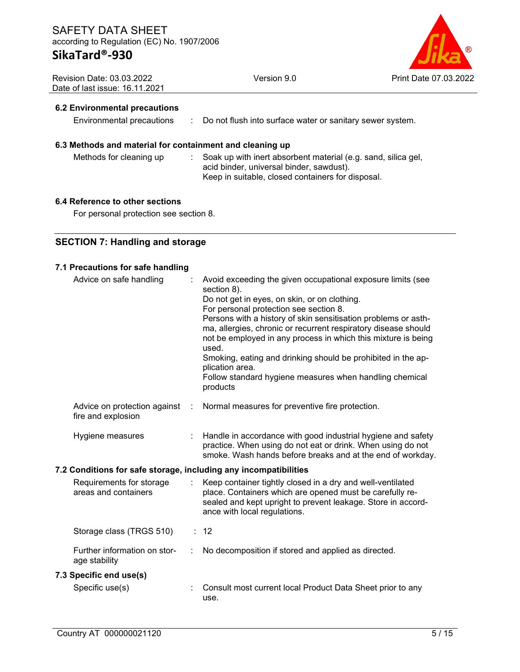Version 9.0 Print Date 07.03.2022

| <b>Revision Date: 03.03.2022</b> |  |
|----------------------------------|--|
| Date of last issue: 16.11.2021   |  |

## **6.2 Environmental precautions**

Environmental precautions : Do not flush into surface water or sanitary sewer system.

## **6.3 Methods and material for containment and cleaning up**

Methods for cleaning up : Soak up with inert absorbent material (e.g. sand, silica gel, acid binder, universal binder, sawdust). Keep in suitable, closed containers for disposal.

#### **6.4 Reference to other sections**

For personal protection see section 8.

## **SECTION 7: Handling and storage**

#### **7.1 Precautions for safe handling**

| Advice on safe handling                                          |   | Avoid exceeding the given occupational exposure limits (see<br>section 8).<br>Do not get in eyes, on skin, or on clothing.<br>For personal protection see section 8.<br>Persons with a history of skin sensitisation problems or asth-<br>ma, allergies, chronic or recurrent respiratory disease should<br>not be employed in any process in which this mixture is being<br>used.<br>Smoking, eating and drinking should be prohibited in the ap-<br>plication area.<br>Follow standard hygiene measures when handling chemical<br>products |  |  |  |  |  |
|------------------------------------------------------------------|---|----------------------------------------------------------------------------------------------------------------------------------------------------------------------------------------------------------------------------------------------------------------------------------------------------------------------------------------------------------------------------------------------------------------------------------------------------------------------------------------------------------------------------------------------|--|--|--|--|--|
| Advice on protection against<br>fire and explosion               | ÷ | Normal measures for preventive fire protection.                                                                                                                                                                                                                                                                                                                                                                                                                                                                                              |  |  |  |  |  |
| Hygiene measures                                                 |   | Handle in accordance with good industrial hygiene and safety<br>practice. When using do not eat or drink. When using do not<br>smoke. Wash hands before breaks and at the end of workday.                                                                                                                                                                                                                                                                                                                                                    |  |  |  |  |  |
| 7.2 Conditions for safe storage, including any incompatibilities |   |                                                                                                                                                                                                                                                                                                                                                                                                                                                                                                                                              |  |  |  |  |  |
| Requirements for storage<br>areas and containers                 |   | Keep container tightly closed in a dry and well-ventilated<br>place. Containers which are opened must be carefully re-<br>sealed and kept upright to prevent leakage. Store in accord-<br>ance with local regulations.                                                                                                                                                                                                                                                                                                                       |  |  |  |  |  |
| Storage class (TRGS 510)                                         |   | : 12                                                                                                                                                                                                                                                                                                                                                                                                                                                                                                                                         |  |  |  |  |  |
| Further information on stor-<br>age stability                    |   | No decomposition if stored and applied as directed.                                                                                                                                                                                                                                                                                                                                                                                                                                                                                          |  |  |  |  |  |
| 7.3 Specific end use(s)                                          |   |                                                                                                                                                                                                                                                                                                                                                                                                                                                                                                                                              |  |  |  |  |  |
| Specific use(s)                                                  |   | Consult most current local Product Data Sheet prior to any<br>use.                                                                                                                                                                                                                                                                                                                                                                                                                                                                           |  |  |  |  |  |
|                                                                  |   |                                                                                                                                                                                                                                                                                                                                                                                                                                                                                                                                              |  |  |  |  |  |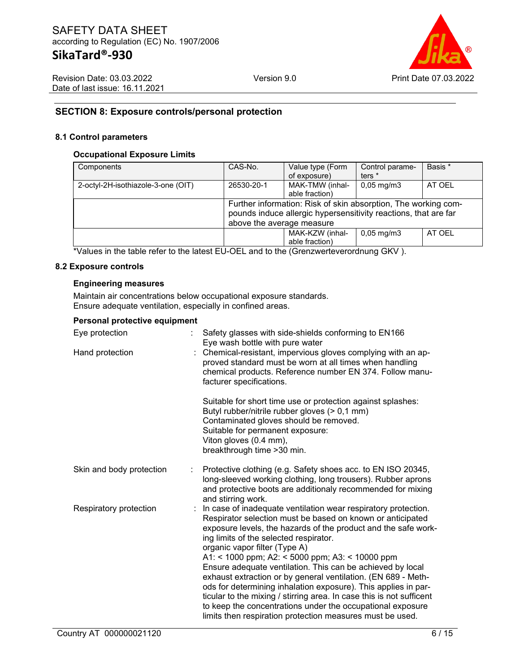

Revision Date: 03.03.2022 Date of last issue: 16.11.2021

## **SECTION 8: Exposure controls/personal protection**

#### **8.1 Control parameters**

#### **Occupational Exposure Limits**

| Components                         | CAS-No.                                                         | Value type (Form | Control parame-         | Basis * |  |
|------------------------------------|-----------------------------------------------------------------|------------------|-------------------------|---------|--|
|                                    |                                                                 | of exposure)     | ters $*$                |         |  |
| 2-octyl-2H-isothiazole-3-one (OIT) | 26530-20-1                                                      | MAK-TMW (inhal-  | $0,05 \,\mathrm{mg/m3}$ | AT OEL  |  |
|                                    |                                                                 | able fraction)   |                         |         |  |
|                                    | Further information: Risk of skin absorption, The working com-  |                  |                         |         |  |
|                                    | pounds induce allergic hypersensitivity reactions, that are far |                  |                         |         |  |
|                                    | above the average measure                                       |                  |                         |         |  |
|                                    |                                                                 | MAK-KZW (inhal-  | $0,05 \,\mathrm{mg/m}$  | AT OEL  |  |
|                                    |                                                                 | able fraction)   |                         |         |  |

\*Values in the table refer to the latest EU-OEL and to the (Grenzwerteverordnung GKV ).

#### **8.2 Exposure controls**

#### **Engineering measures**

Maintain air concentrations below occupational exposure standards. Ensure adequate ventilation, especially in confined areas.

#### **Personal protective equipment**

| Eye protection           | Safety glasses with side-shields conforming to EN166<br>Eye wash bottle with pure water                                                                                                                                                                                                                                                                                                                                                                                                                                                                                                                                                                                                                                          |  |
|--------------------------|----------------------------------------------------------------------------------------------------------------------------------------------------------------------------------------------------------------------------------------------------------------------------------------------------------------------------------------------------------------------------------------------------------------------------------------------------------------------------------------------------------------------------------------------------------------------------------------------------------------------------------------------------------------------------------------------------------------------------------|--|
| Hand protection          | Chemical-resistant, impervious gloves complying with an ap-<br>proved standard must be worn at all times when handling<br>chemical products. Reference number EN 374. Follow manu-<br>facturer specifications.                                                                                                                                                                                                                                                                                                                                                                                                                                                                                                                   |  |
|                          | Suitable for short time use or protection against splashes:<br>Butyl rubber/nitrile rubber gloves (> 0,1 mm)<br>Contaminated gloves should be removed.<br>Suitable for permanent exposure:<br>Viton gloves (0.4 mm),<br>breakthrough time > 30 min.                                                                                                                                                                                                                                                                                                                                                                                                                                                                              |  |
| Skin and body protection | Protective clothing (e.g. Safety shoes acc. to EN ISO 20345,<br>long-sleeved working clothing, long trousers). Rubber aprons<br>and protective boots are additionaly recommended for mixing<br>and stirring work.                                                                                                                                                                                                                                                                                                                                                                                                                                                                                                                |  |
| Respiratory protection   | In case of inadequate ventilation wear respiratory protection.<br>Respirator selection must be based on known or anticipated<br>exposure levels, the hazards of the product and the safe work-<br>ing limits of the selected respirator.<br>organic vapor filter (Type A)<br>A1: < 1000 ppm; A2: < 5000 ppm; A3: < 10000 ppm<br>Ensure adequate ventilation. This can be achieved by local<br>exhaust extraction or by general ventilation. (EN 689 - Meth-<br>ods for determining inhalation exposure). This applies in par-<br>ticular to the mixing / stirring area. In case this is not sufficent<br>to keep the concentrations under the occupational exposure<br>limits then respiration protection measures must be used. |  |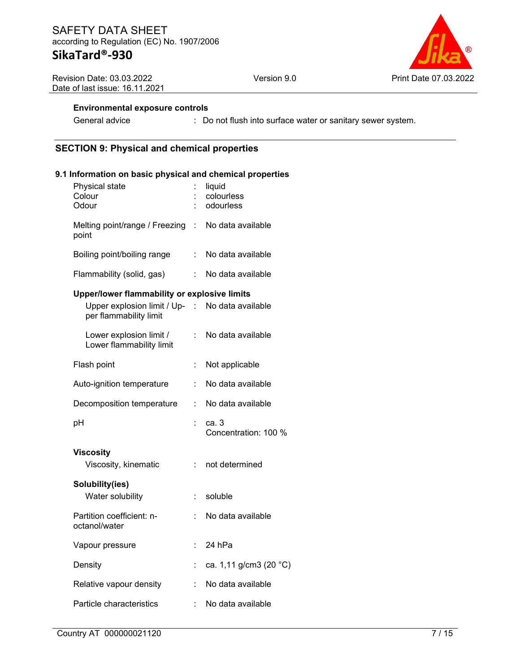Version 9.0 **Print Date 07.03.2022** 

Revision Date: 03.03.2022 Date of last issue: 16.11.2021

## **Environmental exposure controls**

General advice : Do not flush into surface water or sanitary sewer system.

## **SECTION 9: Physical and chemical properties**

## **9.1 Information on basic physical and chemical properties**

|                                      | liquid<br>colourless<br>odourless                                                               |
|--------------------------------------|-------------------------------------------------------------------------------------------------|
| Melting point/range / Freezing<br>t. | No data available                                                                               |
| t.                                   | No data available                                                                               |
|                                      | No data available                                                                               |
|                                      | Upper/lower flammability or explosive limits<br>Upper explosion limit / Up- : No data available |
| t.                                   | No data available                                                                               |
|                                      | Not applicable                                                                                  |
|                                      | No data available                                                                               |
| ÷                                    | No data available                                                                               |
| t                                    | са. 3<br>Concentration: 100 %                                                                   |
| t.                                   | not determined                                                                                  |
| t.                                   | soluble                                                                                         |
| ÷                                    | No data available                                                                               |
| ÷                                    | 24 hPa                                                                                          |
| $\ddot{\phantom{a}}$                 | ca. 1,11 g/cm3 (20 °C)                                                                          |
| t.                                   | No data available                                                                               |
|                                      | No data available                                                                               |
|                                      |                                                                                                 |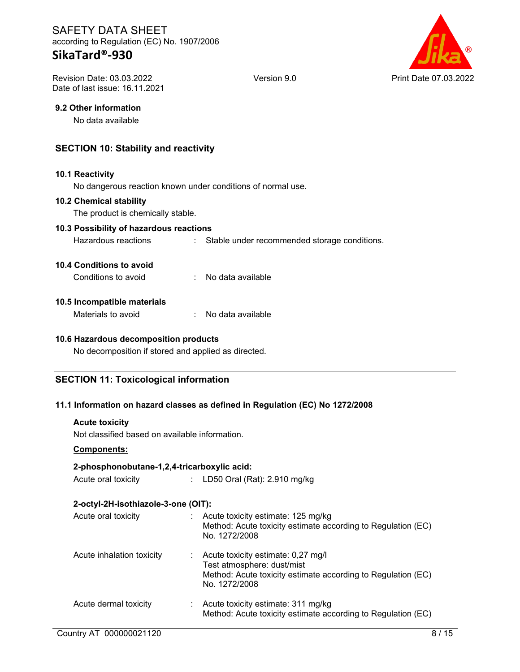Revision Date: 03.03.2022 Date of last issue: 16.11.2021



#### **9.2 Other information**

No data available

## **SECTION 10: Stability and reactivity**

#### **10.1 Reactivity**

No dangerous reaction known under conditions of normal use.

#### **10.2 Chemical stability**

The product is chemically stable.

#### **10.3 Possibility of hazardous reactions**

Hazardous reactions : Stable under recommended storage conditions.

#### **10.4 Conditions to avoid**

Conditions to avoid : No data available

#### **10.5 Incompatible materials**

| Materials to avoid |  | No data available |
|--------------------|--|-------------------|
|--------------------|--|-------------------|

#### **10.6 Hazardous decomposition products**

No decomposition if stored and applied as directed.

### **SECTION 11: Toxicological information**

### **11.1 Information on hazard classes as defined in Regulation (EC) No 1272/2008**

#### **Acute toxicity**

Not classified based on available information.

#### **Components:**

### **2-phosphonobutane-1,2,4-tricarboxylic acid:**

Acute oral toxicity : LD50 Oral (Rat): 2.910 mg/kg

### **2-octyl-2H-isothiazole-3-one (OIT):**

| Acute oral toxicity       | Acute toxicity estimate: 125 mg/kg<br>Method: Acute toxicity estimate according to Regulation (EC)<br>No. 1272/2008                               |
|---------------------------|---------------------------------------------------------------------------------------------------------------------------------------------------|
| Acute inhalation toxicity | Acute toxicity estimate: 0,27 mg/l<br>Test atmosphere: dust/mist<br>Method: Acute toxicity estimate according to Regulation (EC)<br>No. 1272/2008 |
| Acute dermal toxicity     | Acute toxicity estimate: 311 mg/kg<br>Method: Acute toxicity estimate according to Regulation (EC)                                                |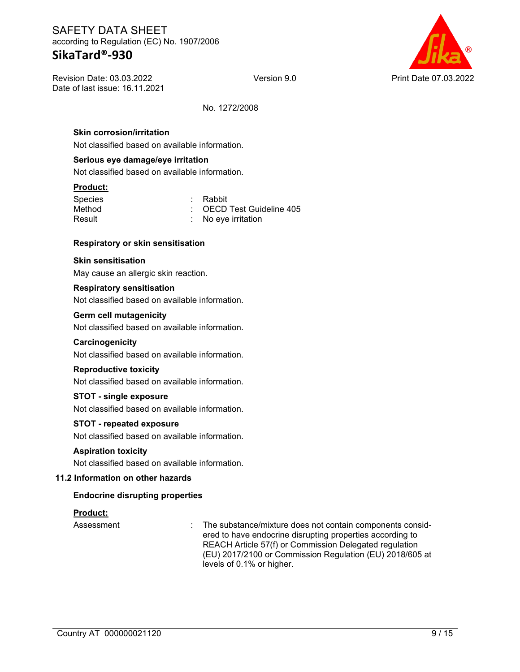# **SikaTard®-930**

Version 9.0 Print Date 07.03.2022

Revision Date: 03.03.2022 Date of last issue: 16.11.2021

No. 1272/2008

## **Skin corrosion/irritation**

Not classified based on available information.

#### **Serious eye damage/eye irritation**

Not classified based on available information.

#### **Product:**

| <b>Species</b> | : Rabbit                             |
|----------------|--------------------------------------|
| Method         | $\therefore$ OECD Test Guideline 405 |
| Result         | $\therefore$ No eye irritation       |

#### **Respiratory or skin sensitisation**

### **Skin sensitisation**

May cause an allergic skin reaction.

#### **Respiratory sensitisation**

Not classified based on available information.

#### **Germ cell mutagenicity**

Not classified based on available information.

#### **Carcinogenicity**

Not classified based on available information.

#### **Reproductive toxicity**

Not classified based on available information.

#### **STOT - single exposure**

Not classified based on available information.

#### **STOT - repeated exposure**

Not classified based on available information.

#### **Aspiration toxicity**

Not classified based on available information.

#### **11.2 Information on other hazards**

#### **Endocrine disrupting properties**

#### **Product:**

Assessment : The substance/mixture does not contain components considered to have endocrine disrupting properties according to REACH Article 57(f) or Commission Delegated regulation (EU) 2017/2100 or Commission Regulation (EU) 2018/605 at levels of 0.1% or higher.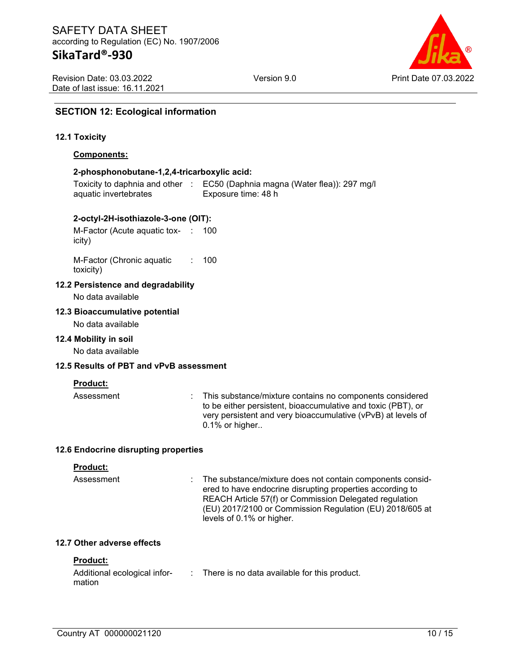Revision Date: 03.03.2022 Date of last issue: 16.11.2021



## **SECTION 12: Ecological information**

#### **12.1 Toxicity**

#### **Components:**

#### **2-phosphonobutane-1,2,4-tricarboxylic acid:**

Toxicity to daphnia and other : EC50 (Daphnia magna (Water flea)): 297 mg/l aquatic invertebrates Exposure time: 48 h

#### **2-octyl-2H-isothiazole-3-one (OIT):**

M-Factor (Acute aquatic tox-: 100 icity)

M-Factor (Chronic aquatic toxicity) : 100

#### **12.2 Persistence and degradability**

No data available

#### **12.3 Bioaccumulative potential**

No data available

#### **12.4 Mobility in soil**

No data available

#### **12.5 Results of PBT and vPvB assessment**

#### **Product:**

Assessment : This substance/mixture contains no components considered to be either persistent, bioaccumulative and toxic (PBT), or very persistent and very bioaccumulative (vPvB) at levels of 0.1% or higher..

#### **12.6 Endocrine disrupting properties**

#### **Product:**

Assessment : The substance/mixture does not contain components considered to have endocrine disrupting properties according to REACH Article 57(f) or Commission Delegated regulation (EU) 2017/2100 or Commission Regulation (EU) 2018/605 at levels of 0.1% or higher.

#### **12.7 Other adverse effects**

#### **Product:**

| Additional ecological infor- | There is no data available for this product. |
|------------------------------|----------------------------------------------|
| mation                       |                                              |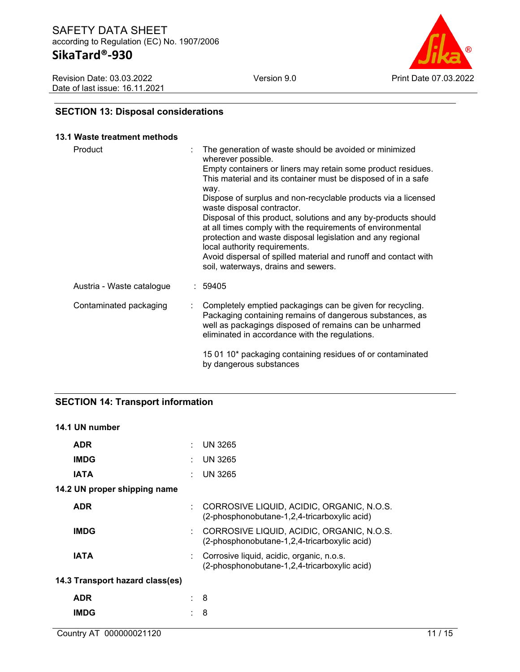Revision Date: 03.03.2022 Date of last issue: 16.11.2021



# **SECTION 13: Disposal considerations**

#### **13.1 Waste treatment methods**

| Product                   | The generation of waste should be avoided or minimized<br>wherever possible.<br>Empty containers or liners may retain some product residues.<br>This material and its container must be disposed of in a safe<br>way.<br>Dispose of surplus and non-recyclable products via a licensed<br>waste disposal contractor.<br>Disposal of this product, solutions and any by-products should<br>at all times comply with the requirements of environmental<br>protection and waste disposal legislation and any regional<br>local authority requirements.<br>Avoid dispersal of spilled material and runoff and contact with<br>soil, waterways, drains and sewers. |
|---------------------------|---------------------------------------------------------------------------------------------------------------------------------------------------------------------------------------------------------------------------------------------------------------------------------------------------------------------------------------------------------------------------------------------------------------------------------------------------------------------------------------------------------------------------------------------------------------------------------------------------------------------------------------------------------------|
| Austria - Waste catalogue | : 59405                                                                                                                                                                                                                                                                                                                                                                                                                                                                                                                                                                                                                                                       |
| Contaminated packaging    | : Completely emptied packagings can be given for recycling.<br>Packaging containing remains of dangerous substances, as<br>well as packagings disposed of remains can be unharmed<br>eliminated in accordance with the regulations.                                                                                                                                                                                                                                                                                                                                                                                                                           |
|                           | 15 01 10* packaging containing residues of or contaminated<br>by dangerous substances                                                                                                                                                                                                                                                                                                                                                                                                                                                                                                                                                                         |

## **SECTION 14: Transport information**

### **14.1 UN number**

| <b>ADR</b>                      | UN 3265                                                                                   |
|---------------------------------|-------------------------------------------------------------------------------------------|
| <b>IMDG</b>                     | UN 3265                                                                                   |
| <b>IATA</b>                     | <b>UN 3265</b>                                                                            |
| 14.2 UN proper shipping name    |                                                                                           |
| <b>ADR</b>                      | CORROSIVE LIQUID, ACIDIC, ORGANIC, N.O.S.<br>(2-phosphonobutane-1,2,4-tricarboxylic acid) |
| <b>IMDG</b>                     | CORROSIVE LIQUID, ACIDIC, ORGANIC, N.O.S.<br>(2-phosphonobutane-1,2,4-tricarboxylic acid) |
| <b>IATA</b>                     | Corrosive liquid, acidic, organic, n.o.s.<br>(2-phosphonobutane-1,2,4-tricarboxylic acid) |
| 14.3 Transport hazard class(es) |                                                                                           |
| <b>ADR</b>                      | 8                                                                                         |
| <b>IMDG</b>                     | 8                                                                                         |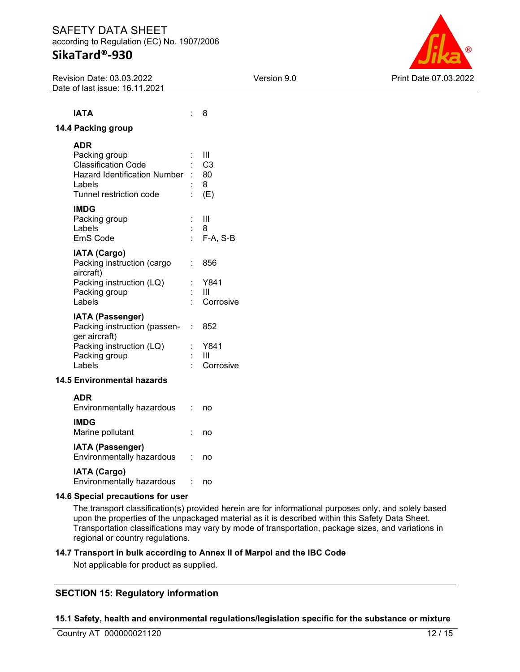# **SikaTard®-930**

Revision Date: 03.03.2022 Date of last issue: 16.11.2021



# **IATA** : 8 **14.4 Packing group**

| ADR                               |    |                |
|-----------------------------------|----|----------------|
| Packing group                     |    | Ш              |
| Classification Code               |    | C <sub>3</sub> |
| Hazard Identification Number : 80 |    |                |
| Labels                            |    | : 8            |
| Tunnel restriction code           |    | : $(E)$        |
| IMDG                              |    |                |
| Packing group                     |    | - 111          |
| Labels                            |    | : 8            |
| EmS Code                          |    | : F-A, S-B     |
| <b>IATA (Cargo)</b>               |    |                |
| Packing instruction (cargo        | ۰. | 856            |
| aircraft)                         |    |                |
| Packing instruction (LQ)          |    | : Y841         |
| Packing group                     |    | - 111          |
| Labels                            |    | Corrosive      |
| <b>IATA (Passenger)</b>           |    |                |
| Packing instruction (passen- :    |    | 852            |
| ger aircraft)                     |    |                |
| Packing instruction (LQ)          |    | Y841           |

## **14.5 Environmental hazards**

| <b>ADR</b><br>Environmentally hazardous              | no |
|------------------------------------------------------|----|
| <b>IMDG</b><br>Marine pollutant                      | no |
| <b>IATA (Passenger)</b><br>Environmentally hazardous | no |
| <b>IATA (Cargo)</b><br>Environmentally hazardous     | ПΟ |

Packing group : III<br>
Labels : Co

**14.6 Special precautions for user**

The transport classification(s) provided herein are for informational purposes only, and solely based upon the properties of the unpackaged material as it is described within this Safety Data Sheet. Transportation classifications may vary by mode of transportation, package sizes, and variations in regional or country regulations.

### **14.7 Transport in bulk according to Annex II of Marpol and the IBC Code**

: Corrosive

Not applicable for product as supplied.

# **SECTION 15: Regulatory information**

### **15.1 Safety, health and environmental regulations/legislation specific for the substance or mixture**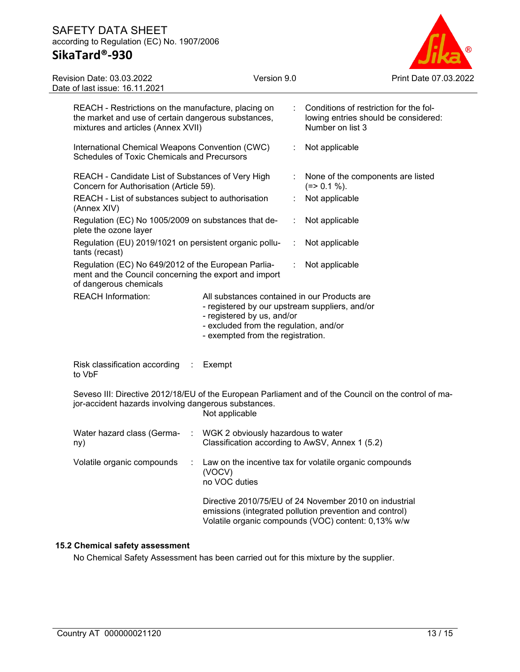# **SikaTard®-930**

Revision Date: 03.03.2022



|                | Date of last issue: 16.11.2021                                                                                                                                                                                                           |  |                         |                                                                                                    |                                                                                                                                                                          |  |
|----------------|------------------------------------------------------------------------------------------------------------------------------------------------------------------------------------------------------------------------------------------|--|-------------------------|----------------------------------------------------------------------------------------------------|--------------------------------------------------------------------------------------------------------------------------------------------------------------------------|--|
|                | REACH - Restrictions on the manufacture, placing on<br>the market and use of certain dangerous substances,<br>mixtures and articles (Annex XVII)                                                                                         |  |                         | Conditions of restriction for the fol-<br>lowing entries should be considered:<br>Number on list 3 |                                                                                                                                                                          |  |
|                | International Chemical Weapons Convention (CWC)<br>Schedules of Toxic Chemicals and Precursors                                                                                                                                           |  |                         | ÷                                                                                                  | Not applicable                                                                                                                                                           |  |
|                | REACH - Candidate List of Substances of Very High<br>Concern for Authorisation (Article 59).                                                                                                                                             |  |                         |                                                                                                    | None of the components are listed<br>$(=>0.1\%).$                                                                                                                        |  |
| (Annex XIV)    | REACH - List of substances subject to authorisation                                                                                                                                                                                      |  |                         |                                                                                                    | Not applicable                                                                                                                                                           |  |
|                | Regulation (EC) No 1005/2009 on substances that de-<br>plete the ozone layer                                                                                                                                                             |  |                         |                                                                                                    | Not applicable                                                                                                                                                           |  |
| tants (recast) | Regulation (EU) 2019/1021 on persistent organic pollu-                                                                                                                                                                                   |  |                         |                                                                                                    | Not applicable                                                                                                                                                           |  |
|                | Regulation (EC) No 649/2012 of the European Parlia-<br>ment and the Council concerning the export and import<br>of dangerous chemicals                                                                                                   |  |                         | ÷                                                                                                  | Not applicable                                                                                                                                                           |  |
|                | <b>REACH Information:</b><br>All substances contained in our Products are<br>- registered by our upstream suppliers, and/or<br>- registered by us, and/or<br>- excluded from the regulation, and/or<br>- exempted from the registration. |  |                         |                                                                                                    |                                                                                                                                                                          |  |
| to VbF         | Risk classification according :                                                                                                                                                                                                          |  | Exempt                  |                                                                                                    |                                                                                                                                                                          |  |
|                | jor-accident hazards involving dangerous substances.                                                                                                                                                                                     |  | Not applicable          |                                                                                                    | Seveso III: Directive 2012/18/EU of the European Parliament and of the Council on the control of ma-                                                                     |  |
| ny)            | Water hazard class (Germa-<br>WGK 2 obviously hazardous to water<br>$\sim 10^6$                                                                                                                                                          |  |                         | Classification according to AwSV, Annex 1 (5.2)                                                    |                                                                                                                                                                          |  |
|                | Volatile organic compounds                                                                                                                                                                                                               |  | (VOCV)<br>no VOC duties |                                                                                                    | Law on the incentive tax for volatile organic compounds                                                                                                                  |  |
|                |                                                                                                                                                                                                                                          |  |                         |                                                                                                    | Directive 2010/75/EU of 24 November 2010 on industrial<br>emissions (integrated pollution prevention and control)<br>Volatile organic compounds (VOC) content: 0,13% w/w |  |

## **15.2 Chemical safety assessment**

No Chemical Safety Assessment has been carried out for this mixture by the supplier.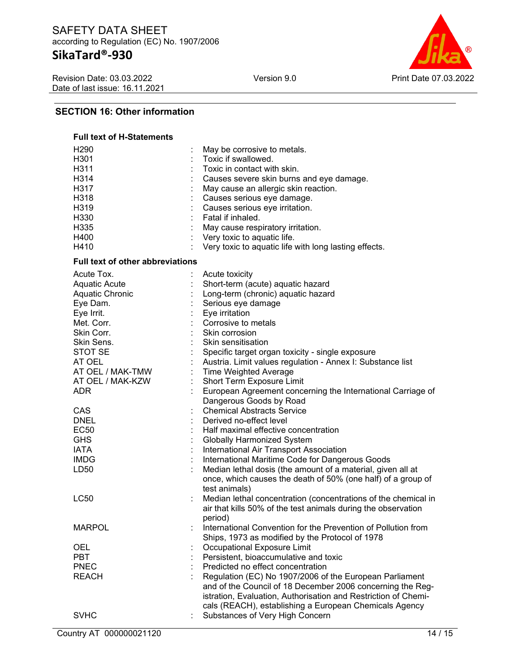Revision Date: 03.03.2022 Date of last issue: 16.11.2021



## **SECTION 16: Other information**

# **Full text of H-Statements** H290 : May be corrosive to metals.<br>H301 : Toxic if swallowed. H301 : Toxic if swallowed.<br>
H311 : Toxic in contact wit H311 : Toxic in contact with skin.<br>H314 : Causes severe skin burns : Causes severe skin burns and eye damage. H317 : May cause an allergic skin reaction. H318 : Causes serious eye damage.<br>
H319 : Causes serious eve irritation. : Causes serious eye irritation. H330 : Fatal if inhaled.

| H335                                    | May cause respiratory irritation.                              |
|-----------------------------------------|----------------------------------------------------------------|
| H400                                    | Very toxic to aquatic life.                                    |
| H410                                    | Very toxic to aquatic life with long lasting effects.          |
| <b>Full text of other abbreviations</b> |                                                                |
| Acute Tox.                              | Acute toxicity                                                 |
| <b>Aquatic Acute</b>                    | Short-term (acute) aquatic hazard                              |
| Aquatic Chronic                         | Long-term (chronic) aquatic hazard                             |
| Eye Dam.                                | Serious eye damage                                             |
| Eye Irrit.                              | Eye irritation                                                 |
| Met. Corr.                              | Corrosive to metals                                            |
| Skin Corr.                              | Skin corrosion                                                 |
| Skin Sens.                              | Skin sensitisation                                             |
| STOT SE                                 | Specific target organ toxicity - single exposure               |
| AT OEL                                  | Austria. Limit values regulation - Annex I: Substance list     |
| AT OEL / MAK-TMW                        | <b>Time Weighted Average</b>                                   |
| AT OEL / MAK-KZW                        | Short Term Exposure Limit                                      |
| <b>ADR</b>                              | European Agreement concerning the International Carriage of    |
|                                         | Dangerous Goods by Road                                        |
| CAS                                     | <b>Chemical Abstracts Service</b>                              |
| <b>DNEL</b>                             | Derived no-effect level                                        |
| <b>EC50</b>                             | Half maximal effective concentration                           |
| <b>GHS</b>                              | <b>Globally Harmonized System</b>                              |
| <b>IATA</b>                             | International Air Transport Association                        |
| <b>IMDG</b>                             | International Maritime Code for Dangerous Goods                |
| LD50                                    | Median lethal dosis (the amount of a material, given all at    |
|                                         | once, which causes the death of 50% (one half) of a group of   |
|                                         | test animals)                                                  |
| <b>LC50</b>                             | Median lethal concentration (concentrations of the chemical in |
|                                         | air that kills 50% of the test animals during the observation  |
|                                         | period)                                                        |
| <b>MARPOL</b>                           | International Convention for the Prevention of Pollution from  |
|                                         | Ships, 1973 as modified by the Protocol of 1978                |
| <b>OEL</b>                              | Occupational Exposure Limit                                    |
| <b>PBT</b>                              | Persistent, bioaccumulative and toxic                          |
| <b>PNEC</b>                             | Predicted no effect concentration                              |
| <b>REACH</b>                            | Regulation (EC) No 1907/2006 of the European Parliament        |
|                                         | and of the Council of 18 December 2006 concerning the Reg-     |
|                                         | istration, Evaluation, Authorisation and Restriction of Chemi- |
|                                         | cals (REACH), establishing a European Chemicals Agency         |
| <b>SVHC</b>                             | Substances of Very High Concern                                |